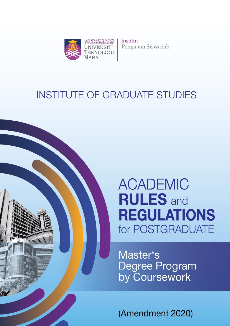

Institut Pengajian Siswazah

# **INSTITUTE OF GRADUATE STUDIES**



# **ACADEMIC RULES** and **REGULATIONS** for POSTGRADUATE

Master's Degree Program<br>by Coursework

(Amendment 2020)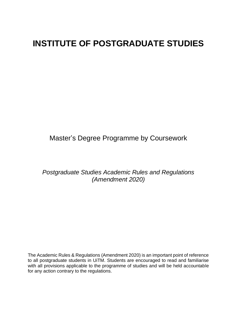## **INSTITUTE OF POSTGRADUATE STUDIES**

## Master's Degree Programme by Coursework

## *Postgraduate Studies Academic Rules and Regulations (Amendment 2020)*

The Academic Rules & Regulations (Amendment 2020) is an important point of reference to all postgraduate students in UiTM. Students are encouraged to read and familiarise with all provisions applicable to the programme of studies and will be held accountable for any action contrary to the regulations.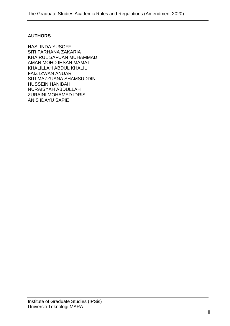## **AUTHORS**

HASLINDA YUSOFF SITI FARHANA ZAKARIA KHAIRUL SAFUAN MUHAMMAD AMAN MOHD IHSAN MAMAT KHALILLAH ABDUL KHALIL FAIZ IZWAN ANUAR SITI MAZZUANA SHAMSUDDIN HUSSEIN HANIBAH NURAISYAH ABDULLAH ZURAINI MOHAMED IDRIS ANIS IDAYU SAPIE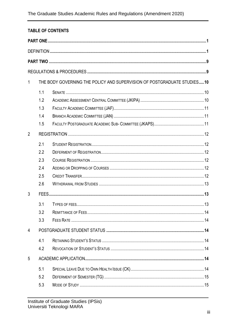## **TABLE OF CONTENTS**

| $\mathbf{1}$   |     | THE BODY GOVERNING THE POLICY AND SUPERVISION OF POSTGRADUATE STUDIES10 |  |
|----------------|-----|-------------------------------------------------------------------------|--|
|                |     |                                                                         |  |
|                | 1.1 |                                                                         |  |
|                | 1.2 |                                                                         |  |
|                | 1.3 |                                                                         |  |
|                | 1.4 |                                                                         |  |
|                | 1.5 |                                                                         |  |
| $\overline{2}$ |     |                                                                         |  |
|                | 2.1 |                                                                         |  |
|                | 2.2 |                                                                         |  |
|                | 2.3 |                                                                         |  |
|                | 2.4 |                                                                         |  |
|                | 2.5 |                                                                         |  |
|                | 2.6 |                                                                         |  |
| 3              |     |                                                                         |  |
|                | 3.1 |                                                                         |  |
|                | 3.2 |                                                                         |  |
|                | 3.3 |                                                                         |  |
| 4              |     |                                                                         |  |
|                | 4.1 |                                                                         |  |
|                | 4.2 |                                                                         |  |
| 5              |     |                                                                         |  |
|                | 5.1 |                                                                         |  |
|                | 5.2 |                                                                         |  |
|                | 5.3 |                                                                         |  |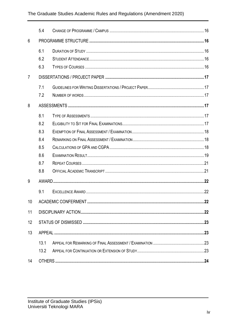|                | 5.4               |  |
|----------------|-------------------|--|
| 6              |                   |  |
|                | 6.1<br>6.2<br>6.3 |  |
| $\overline{7}$ |                   |  |
|                | 7.1<br>7.2        |  |
| 8              |                   |  |
|                | 8.1               |  |
|                | 8.2<br>8.3        |  |
|                | 8.4               |  |
|                | 8.5               |  |
|                | 8.6               |  |
|                | 8.7               |  |
|                | 8.8               |  |
| 9              |                   |  |
|                | 9.1               |  |
| 10             |                   |  |
| 11             |                   |  |
| 12             |                   |  |
| 13             |                   |  |
|                | 13.1              |  |
|                | 13.2              |  |
| 14             |                   |  |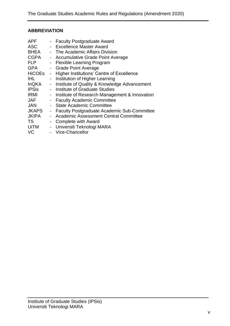## **ABBREVIATION**

| APF           |                | - Faculty Postgraduate Award                    |
|---------------|----------------|-------------------------------------------------|
| <b>ASC</b>    |                | - Excellence Master Award                       |
| BHEA          |                | - The Academic Affairs Division                 |
| <b>CGPA</b>   |                | - Accumulative Grade Point Average              |
| <b>FLP</b>    |                | - Flexible Learning Program                     |
| <b>GPA</b>    |                | - Grade Point Average                           |
| <b>HiCOEs</b> | $\blacksquare$ | Higher Institutions' Centre of Excellence       |
| IHL.          |                | Institution of Higher Learning                  |
| InQKA         | $\sim$         | Institute of Quality & Knowledge Advancement    |
| <b>IPSis</b>  |                | Institute of Graduate Studies                   |
| <b>IRMI</b>   |                | - Institute of Research Management & Innovation |
| JAF           |                | - Faculty Academic Committee                    |
| JAN           |                | - State Academic Committee                      |
| JKAPS         |                | - Faculty Postgraduate Academic Sub-Committee   |
| JKIPA         |                | - Academic Assessment Central Committee         |
| TS            |                | - Complete with Award                           |
| UiTM          |                | - Universiti Teknologi MARA                     |
| VC            |                | - Vice-Chancellor                               |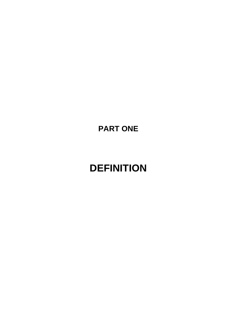<span id="page-6-0"></span>**PART ONE**

# <span id="page-6-1"></span>**DEFINITION**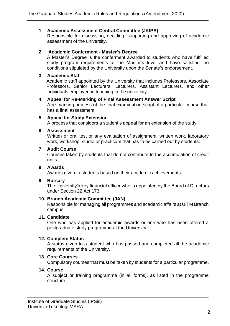## **1. Academic Assessment Central Committee (JKIPA)**

Responsible for discussing, deciding, supporting and approving of academic assessment of the university.

### **2. Academic Conferment - Master's Degree**

A Master's Degree is the conferment awarded to students who have fulfilled study program requirements at the Master's level and have satisfied the conditions stipulated by the University upon the Senate's endorsement.

### **3. Academic Staff**

Academic staff appointed by the University that includes Professors, Associate Professors, Senior Lecturers, Lecturers, Assistant Lecturers, and other individuals employed in teaching in the university.

#### **4. Appeal for Re-Marking of Final Assessment Answer Script**

A re-marking process of the final examination script of a particular course that has a final assessment.

#### **5. Appeal for Study Extension**

A process that considers a student's appeal for an extension of the study.

#### **6. Assessment**

Written or oral test or any evaluation of assignment, written work, laboratory work, workshop, studio or practicum that has to be carried out by students.

## **7. Audit Course**

Courses taken by students that do not contribute to the accumulation of credit units.

#### **8. Awards**

Awards given to students based on their academic achievements.

#### **9. Bursary**

The University's key financial officer who is appointed by the Board of Directors under Section 22 Act 173.

#### **10. Branch Academic Committee (JAN)**

Responsible for managing all programmes and academic affairs at UiTM Branch campus.

#### **11. Candidate**

One who has applied for academic awards or one who has been offered a postgraduate study programme at the University.

#### **12. Complete Status**

A status given to a student who has passed and completed all the academic requirements of the University.

### **13. Core Courses**

Compulsory courses that must be taken by students for a particular programme.

## **14. Course**

A subject or training programme (in all forms), as listed in the programme structure.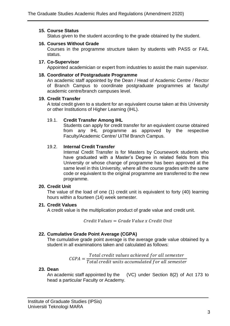## **15. Course Status**

Status given to the student according to the grade obtained by the student.

## **16. Courses Without Grade**

Courses in the programme structure taken by students with PASS or FAIL status.

## **17. Co-Supervisor**

Appointed academician or expert from industries to assist the main supervisor.

## **18. Coordinator of Postgraduate Programme**

An academic staff appointed by the Dean / Head of Academic Centre / Rector of Branch Campus to coordinate postgraduate programmes at faculty/ academic centre/branch campuses level.

## **19. Credit Transfer**

A total credit given to a student for an equivalent course taken at this University or other Institutions of Higher Learning (IHL).

## 19.1. **Credit Transfer Among IHL**

Students can apply for credit transfer for an equivalent course obtained from any IHL programme as approved by the respective Faculty/Academic Centre/ UiTM Branch Campus.

## 19.2. **Internal Credit Transfer**

Internal Credit Transfer is for Masters by Coursework students who have graduated with a Master's Degree in related fields from this University or whose change of programme has been approved at the same level in this University, where all the course grades with the same code or equivalent to the original programme are transferred to the new programme.

## **20. Credit Unit**

The value of the load of one (1) credit unit is equivalent to forty (40) learning hours within a fourteen (14) week semester.

## **21. Credit Values**

A credit value is the multiplication product of grade value and credit unit.

 $Credit Values = Grade Value x Credit Unit$ 

## **22. Cumulative Grade Point Average (CGPA)**

The cumulative grade point average is the average grade value obtained by a student in all examinations taken and calculated as follows:

$$
CGPA = \frac{Total\ credit\ values\ achieved\ for\ all\ semester}{Total\ credit\ units\ accumulated\ for\ all\ semester}
$$

## **23. Dean**

An academic staff appointed by the (VC) under Section 8(2) of Act 173 to head a particular Faculty or Academy.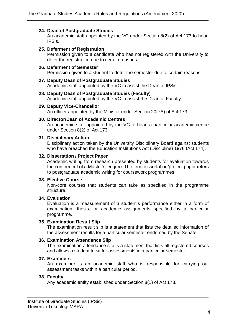#### **24. Dean of Postgraduate Studies**

An academic staff appointed by the VC under Section 8(2) of Act 173 to head IPSis.

#### **25. Deferment of Registration**

Permission given to a candidate who has not registered with the University to defer the registration due to certain reasons.

**26. Deferment of Semester**  Permission given to a student to defer the semester due to certain reasons.

#### **27. Deputy Dean of Postgraduate Studies**

Academic staff appointed by the VC to assist the Dean of IPSis.

#### **28. Deputy Dean of Postgraduate Studies (Faculty)**

Academic staff appointed by the VC to assist the Dean of Faculty.

#### **29. Deputy Vice-Chancellor**

An officer appointed by the Minister under Section 20(7A) of Act 173.

#### **30. Director/Dean of Academic Centres**

An academic staff appointed by the VC to head a particular academic centre under Section 8(2) of Act 173.

#### **31. Disciplinary Action**

Disciplinary action taken by the University Disciplinary Board against students who have breached the Education Institutions Act (Discipline) 1976 (Act 174).

#### **32. Dissertation / Project Paper**

Academic writing from research presented by students for evaluation towards the conferment of a Master's Degree. The term dissertation/project paper refers to postgraduate academic writing for coursework programmes.

#### **33. Elective Course**

Non-core courses that students can take as specified in the programme structure.

#### **34. Evaluation**

Evaluation is a measurement of a student's performance either in a form of examination, thesis, or academic assignments specified by a particular programme.

#### **35. Examination Result Slip**

The examination result slip is a statement that lists the detailed information of the assessment results for a particular semester endorsed by the Senate.

#### **36. Examination Attendance Slip**

The examination attendance slip is a statement that lists all registered courses and allows a student to sit for assessments in a particular semester.

#### **37. Examiners**

An examiner is an academic staff who is responsible for carrying out assessment tasks within a particular period.

#### **38. Faculty**

Any academic entity established under Section 8(1) of Act 173.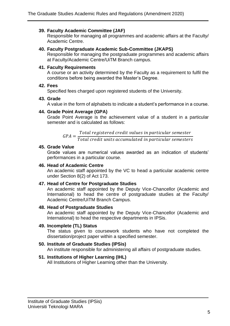## **39. Faculty Academic Committee (JAF)**

Responsible for managing all programmes and academic affairs at the Faculty/ Academic Centre.

#### **40. Faculty Postgraduate Academic Sub-Committee (JKAPS)**

Responsible for managing the postgraduate programmes and academic affairs at Faculty/Academic Centre/UiTM Branch campus.

#### **41. Faculty Requirements**

A course or an activity determined by the Faculty as a requirement to fulfil the conditions before being awarded the Master's Degree.

#### **42. Fees**

Specified fees charged upon registered students of the University.

#### **43. Grade**

A value in the form of alphabets to indicate a student's performance in a course.

#### **44. Grade Point Average (GPA)**

Grade Point Average is the achievement value of a student in a particular semester and is calculated as follows:

 $GPA =$ Total registered credit values in particular semester Total credit units accumulated in particular semesters

#### **45. Grade Value**

Grade values are numerical values awarded as an indication of students' performances in a particular course.

#### **46. Head of Academic Centre**

An academic staff appointed by the VC to head a particular academic centre under Section 8(2) of Act 173.

#### **47. Head of Centre for Postgraduate Studies**

An academic staff appointed by the Deputy Vice-Chancellor (Academic and International) to head the centre of postgraduate studies at the Faculty/ Academic Centre/UiTM Branch Campus.

#### **48. Head of Postgraduate Studies**

An academic staff appointed by the Deputy Vice-Chancellor (Academic and International) to head the respective departments in IPSis.

#### **49. Incomplete (TL) Status**

The status given to coursework students who have not completed the dissertation/project paper within a specified semester.

#### **50. Institute of Graduate Studies (IPSis)**

An institute responsible for administering all affairs of postgraduate studies.

## **51. Institutions of Higher Learning (IHL)**

All Institutions of Higher Learning other than the University.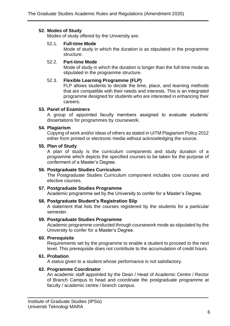### **52. Modes of Study**

Modes of study offered by the University are:

#### 52.1. **Full-time Mode**

Mode of study in which the duration is as stipulated in the programme structure.

### 52.2. **Part-time Mode**

Mode of study in which the duration is longer than the full-time mode as stipulated in the programme structure.

#### 52.3. **Flexible Learning Programme (FLP)**

FLP allows students to decide the time, place, and learning methods that are compatible with their needs and interests. This is an integrated programme designed for students who are interested in enhancing their careers.

#### **53. Panel of Examiners**

A group of appointed faculty members assigned to evaluate students' dissertations for programmes by coursework.

#### **54. Plagiarism**

Copying of work and/or ideas of others as stated in UiTM Plagiarism Policy 2012 either from printed or electronic media without acknowledging the source.

#### **55. Plan of Study**

A plan of study is the curriculum components and study duration of a programme which depicts the specified courses to be taken for the purpose of conferment of a Master's Degree.

#### **56. Postgraduate Studies Curriculum**

The Postgraduate Studies Curriculum component includes core courses and elective courses.

#### **57. Postgraduate Studies Programme**

Academic programme set by the University to confer for a Master's Degree.

## **58. Postgraduate Student's Registration Slip**

A statement that lists the courses registered by the students for a particular semester.

#### **59. Postgraduate Studies Programme**

Academic programme conducted through coursework mode as stipulated by the University to confer for a Master's Degree.

#### **60. Prerequisite**

Requirements set by the programme to enable a student to proceed to the next level. This prerequisite does not contribute to the accumulation of credit hours.

#### **61. Probation**

A status given to a student whose performance is not satisfactory.

#### **62. Programme Coordinator**

An academic staff appointed by the Dean / Head of Academic Centre / Rector of Branch Campus to head and coordinate the postgraduate programme at faculty / academic centre / branch campus.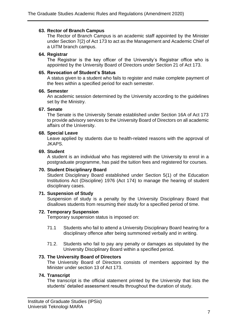#### **63. Rector of Branch Campus**

The Rector of Branch Campus is an academic staff appointed by the Minister under Section 7(2) of Act 173 to act as the Management and Academic Chief of a UiTM branch campus.

#### **64. Registrar**

The Registrar is the key officer of the University's Registrar office who is appointed by the University Board of Directors under Section 21 of Act 173.

#### **65. Revocation of Student's Status**

A status given to a student who fails to register and make complete payment of the fees within a specified period for each semester.

#### **66. Semester**

An academic session determined by the University according to the guidelines set by the Ministry.

#### **67. Senate**

The Senate is the University Senate established under Section 16A of Act 173 to provide advisory services to the University Board of Directors on all academic affairs of the University.

#### **68. Special Leave**

Leave applied by students due to health-related reasons with the approval of JKAPS.

#### **69. Student**

A student is an individual who has registered with the University to enrol in a postgraduate programme, has paid the tuition fees and registered for courses.

#### **70. Student Disciplinary Board**

Student Disciplinary Board established under Section 5(1) of the Education Institutions Act (Discipline) 1976 (Act 174) to manage the hearing of student disciplinary cases.

#### **71. Suspension of Study**

Suspension of study is a penalty by the University Disciplinary Board that disallows students from resuming their study for a specified period of time.

#### **72. Temporary Suspension**

Temporary suspension status is imposed on:

- 71.1 Students who fail to attend a University Disciplinary Board hearing for a disciplinary offence after being summoned verbally and in writing.
- 71.2. Students who fail to pay any penalty or damages as stipulated by the University Disciplinary Board within a specified period.

#### **73. The University Board of Directors**

The University Board of Directors consists of members appointed by the Minister under section 13 of Act 173.

#### **74. Transcript**

The transcript is the official statement printed by the University that lists the students' detailed assessment results throughout the duration of study.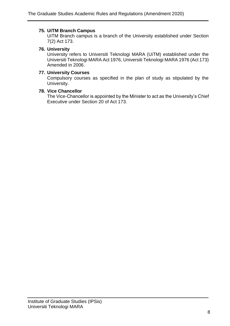## **75. UiTM Branch Campus**

UiTM Branch campus is a branch of the University established under Section 7(2) Act 173.

## **76. University**

University refers to Universiti Teknologi MARA (UiTM) established under the Universiti Teknologi MARA Act 1976, Universiti Teknologi MARA 1976 (Act 173) Amended in 2006.

## **77. University Courses**

Compulsory courses as specified in the plan of study as stipulated by the University.

#### **78. Vice Chancellor**

The Vice-Chancellor is appointed by the Minister to act as the University's Chief Executive under Section 20 of Act 173.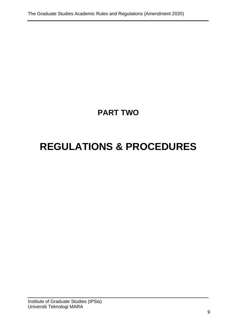## **PART TWO**

# <span id="page-14-1"></span><span id="page-14-0"></span>**REGULATIONS & PROCEDURES**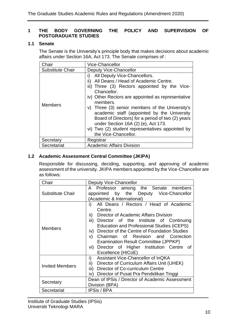## <span id="page-15-0"></span>**1 THE BODY GOVERNING THE POLICY AND SUPERVISION OF POSTGRADUATE STUDIES**

## <span id="page-15-1"></span>**1.1 Senate**

The Senate is the University's principle body that makes decisions about academic affairs under Section 16A, Act 173. The Senate comprises of :

| Chair                   | Vice-Chancellor                                                                                                                                                                                                                                                                                                                                                                                                                                                                              |
|-------------------------|----------------------------------------------------------------------------------------------------------------------------------------------------------------------------------------------------------------------------------------------------------------------------------------------------------------------------------------------------------------------------------------------------------------------------------------------------------------------------------------------|
| <b>Substitute Chair</b> | Deputy Vice-Chancellor                                                                                                                                                                                                                                                                                                                                                                                                                                                                       |
| <b>Members</b>          | All Deputy Vice-Chancellors.<br>i)<br>ii)<br>All Deans / Head of Academic Centre.<br>iii) Three (3) Rectors appointed by the Vice-<br>Chancellor.<br>iv) Other Rectors are appointed as representative<br>members.<br>v) Three (3) senior members of the University's<br>academic staff (appointed by the University<br>Board of Directors) for a period of two (2) years<br>under Section 16A (2) (e), Act 173.<br>vi) Two (2) student representatives appointed by<br>the Vice-Chancellor. |
| Secretary               | Registrar                                                                                                                                                                                                                                                                                                                                                                                                                                                                                    |
| Secretariat             | <b>Academic Affairs Division</b>                                                                                                                                                                                                                                                                                                                                                                                                                                                             |

## <span id="page-15-2"></span>**1.2 Academic Assessment Central Committee (JKIPA)**

Responsible for discussing, deciding, supporting, and approving of academic assessment of the university. JKIPA members appointed by the Vice-Chancellor are as follows:

| Chair                  | Deputy Vice-Chancellor                                                                                                                                                                                                                                                                                                                                                                                                                |
|------------------------|---------------------------------------------------------------------------------------------------------------------------------------------------------------------------------------------------------------------------------------------------------------------------------------------------------------------------------------------------------------------------------------------------------------------------------------|
| Substitute Chair       | A Professor among the Senate members<br>appointed by the Deputy Vice-Chancellor<br>(Academic & International)                                                                                                                                                                                                                                                                                                                         |
| Members                | i)<br>All Deans / Rectors / Head of Academic<br>Centre.<br>ii)<br>Director of Academic Affairs Division<br>iii)<br>Director of the Institute of Continuing<br><b>Education and Professional Studies (iCEPS)</b><br>iv) Director of the Centre of Foundation Studies<br>Chairman of Revision and Correction<br>V)<br><b>Examination Result Committee (JPPKP)</b><br>vi) Director of Higher Institution Centre of<br>Excellence (HICoE) |
| <b>Invited Members</b> | Assistant Vice-Chancellor of InQKA<br>i)<br>$\mathsf{ii}$ )<br>Director of Curriculum Affairs Unit (UHEK)<br>iii)<br>Director of Co-curriculum Centre<br>Director of Pusat Pra Pendidikan Tinggi<br>iv)                                                                                                                                                                                                                               |
| Secretary              | Dean of IPSis / Director of Academic Assessment<br>Division (BPA)                                                                                                                                                                                                                                                                                                                                                                     |
| Secretariat            | <b>IPSis / BPA</b>                                                                                                                                                                                                                                                                                                                                                                                                                    |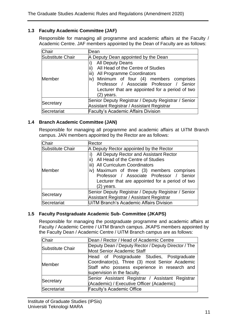## <span id="page-16-0"></span>**1.3 Faculty Academic Committee (JAF)**

Responsible for managing all programme and academic affairs at the Faculty / Academic Centre. JAF members appointed by the Dean of Faculty are as follows:

| Chair            | Dean                                                                                                                                                                                                                                                               |
|------------------|--------------------------------------------------------------------------------------------------------------------------------------------------------------------------------------------------------------------------------------------------------------------|
| Substitute Chair | A Deputy Dean appointed by the Dean                                                                                                                                                                                                                                |
| Member           | <b>All Deputy Deans</b><br>All Head of the Centre of Studies<br>liii)<br>All Programme Coordinators<br>Minimum of four (4) members comprises<br>iv)<br>Professor / Associate Professor / Senior<br>Lecturer that are appointed for a period of two<br>$(2)$ years. |
| Secretary        | Senior Deputy Registrar / Deputy Registrar / Senior<br>Assistant Registrar / Assistant Registrar                                                                                                                                                                   |
| Secretariat      | <b>Faculty's Academic Affairs Division</b>                                                                                                                                                                                                                         |

#### <span id="page-16-1"></span>**1.4 Branch Academic Committee (JAN)**

Responsible for managing all programme and academic affairs at UiTM Branch campus. JAN members appointed by the Rector are as follows:

| Chair            | Rector                                                                                                                                                                                                                                                                            |
|------------------|-----------------------------------------------------------------------------------------------------------------------------------------------------------------------------------------------------------------------------------------------------------------------------------|
| Substitute Chair | A Deputy Rector appointed by the Rector                                                                                                                                                                                                                                           |
| <b>Member</b>    | All Deputy Rector and Assistant Rector<br>All Head of the Centre of Studies<br>ii)<br>iii) All Curriculum Coordinators<br>iv) Maximum of three (3) members comprises<br>Professor / Associate Professor / Senior<br>Lecturer that are appointed for a period of two<br>(2) years. |
| Secretary        | Senior Deputy Registrar / Deputy Registrar / Senior<br>Assistant Registrar / Assistant Registrar                                                                                                                                                                                  |
| Secretariat      | UITM Branch's Academic Affairs Division                                                                                                                                                                                                                                           |

## <span id="page-16-2"></span>**1.5 Faculty Postgraduate Academic Sub- Committee (JKAPS)**

Responsible for managing the postgraduate programme and academic affairs at Faculty / Academic Centre / UiTM Branch campus. JKAPS members appointed by the Faculty Dean / Academic Centre / UiTM Branch campus are as follows:

| Chair            | Dean / Rector / Head of Academic Centre                                                                                                                                     |
|------------------|-----------------------------------------------------------------------------------------------------------------------------------------------------------------------------|
| Substitute Chair | Deputy Dean / Deputy Rector / Deputy Director / The<br><b>Most Senior Academic Staff</b>                                                                                    |
| Member           | Head of Postgraduate Studies, Postgraduate<br>Coordinator(s), Three (3) most Senior Academic<br>Staff who possess experience in research and<br>supervision in the faculty. |
| Secretary        | Senior Assistant Registrar / Assistant Registrar<br>(Academic) / Executive Officer (Academic)                                                                               |
| Secretariat      | <b>Faculty's Academic Office</b>                                                                                                                                            |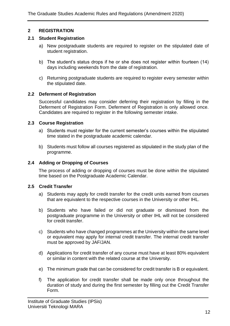## <span id="page-17-0"></span>**2 REGISTRATION**

## <span id="page-17-1"></span>**2.1 Student Registration**

- a) New postgraduate students are required to register on the stipulated date of student registration.
- b) The student's status drops if he or she does not register within fourteen (14) days including weekends from the date of registration.
- c) Returning postgraduate students are required to register every semester within the stipulated date.

## <span id="page-17-2"></span>**2.2 Deferment of Registration**

Successful candidates may consider deferring their registration by filling in the Deferment of Registration Form. Deferment of Registration is only allowed once. Candidates are required to register in the following semester intake.

## <span id="page-17-3"></span>**2.3 Course Registration**

- a) Students must register for the current semester's courses within the stipulated time stated in the postgraduate academic calendar.
- b) Students must follow all courses registered as stipulated in the study plan of the programme.

## <span id="page-17-4"></span>**2.4 Adding or Dropping of Courses**

The process of adding or dropping of courses must be done within the stipulated time based on the Postgraduate Academic Calendar.

## <span id="page-17-5"></span>**2.5 Credit Transfer**

- a) Students may apply for credit transfer for the credit units earned from courses that are equivalent to the respective courses in the University or other IHL.
- b) Students who have failed or did not graduate or dismissed from the postgraduate programme in the University or other IHL will not be considered for credit transfer.
- c) Students who have changed programmes at the University within the same level or equivalent may apply for internal credit transfer. The internal credit transfer must be approved by JAF/JAN.
- d) Applications for credit transfer of any course must have at least 80% equivalent or similar in content with the related course at the University.
- e) The minimum grade that can be considered for credit transfer is B or equivalent.
- f) The application for credit transfer shall be made only once throughout the duration of study and during the first semester by filling out the Credit Transfer Form.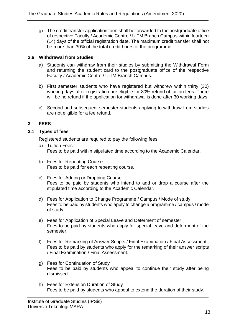g) The credit transfer application form shall be forwarded to the postgraduate office of respective Faculty / Academic Centre / UiTM Branch Campus within fourteen (14) days of the official registration date. The maximum credit transfer shall not be more than 30% of the total credit hours of the programme.

## <span id="page-18-0"></span>**2.6 Withdrawal from Studies**

- a) Students can withdraw from their studies by submitting the Withdrawal Form and returning the student card to the postgraduate office of the respective Faculty / Academic Centre / UiTM Branch Campus.
- b) First semester students who have registered but withdrew within thirty (30) working days after registration are eligible for 80% refund of tuition fees. There will be no refund if the application for withdrawal is done after 30 working days.
- c) Second and subsequent semester students applying to withdraw from studies are not eligible for a fee refund.

## <span id="page-18-1"></span>**3 FEES**

## <span id="page-18-2"></span>**3.1 Types of fees**

Registered students are required to pay the following fees:

- a) Tuition Fees Fees to be paid within stipulated time according to the Academic Calendar.
- b) Fees for Repeating Course Fees to be paid for each repeating course.
- c) Fees for Adding or Dropping Course Fees to be paid by students who intend to add or drop a course after the stipulated time according to the Academic Calendar.
- d) Fees for Application to Change Programme / Campus / Mode of study Fees to be paid by students who apply to change a programme / campus / mode of study.
- e) Fees for Application of Special Leave and Deferment of semester Fees to be paid by students who apply for special leave and deferment of the semester.
- f) Fees for Remarking of Answer Scripts / Final Examination / Final Assessment Fees to be paid by students who apply for the remarking of their answer scripts / Final Examination / Final Assessment.
- g) Fees for Continuation of Study Fees to be paid by students who appeal to continue their study after being dismissed.
- h) Fees for Extension Duration of Study Fees to be paid by students who appeal to extend the duration of their study.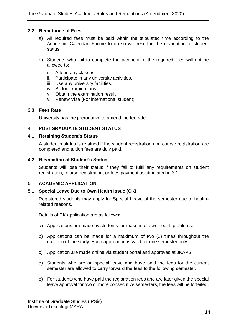### <span id="page-19-0"></span>**3.2 Remittance of Fees**

- a) All required fees must be paid within the stipulated time according to the Academic Calendar. Failure to do so will result in the revocation of student status.
- b) Students who fail to complete the payment of the required fees will not be allowed to:
	- i. Attend any classes.
	- ii. Participate in any university activities.
	- iii. Use any university facilities.
	- iv. Sit for examinations.
	- v. Obtain the examination result
	- vi. Renew Visa (For international student)

#### <span id="page-19-1"></span>**3.3 Fees Rate**

University has the prerogative to amend the fee rate.

## <span id="page-19-2"></span>**4 POSTGRADUATE STUDENT STATUS**

#### <span id="page-19-3"></span>**4.1 Retaining Student's Status**

A student's status is retained if the student registration and course registration are completed and tuition fees are duly paid.

#### <span id="page-19-4"></span>**4.2 Revocation of Student's Status**

Students will lose their status if they fail to fulfil any requirements on student registration, course registration, or fees payment as stipulated in 3.1.

## <span id="page-19-5"></span>**5 ACADEMIC APPLICATION**

#### <span id="page-19-6"></span>**5.1 Special Leave Due to Own Health Issue (CK)**

Registered students may apply for Special Leave of the semester due to healthrelated reasons.

Details of CK application are as follows:

- a) Applications are made by students for reasons of own health problems.
- b) Applications can be made for a maximum of two (2) times throughout the duration of the study. Each application is valid for one semester only.
- c) Application are made online via student portal and approves at JKAPS.
- d) Students who are on special leave and have paid the fees for the current semester are allowed to carry forward the fees to the following semester.
- e) For students who have paid the registration fees and are later given the special leave approval for two or more consecutive semesters, the fees will be forfeited.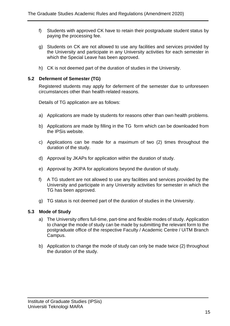- f) Students with approved CK have to retain their postgraduate student status by paying the processing fee.
- g) Students on CK are not allowed to use any facilities and services provided by the University and participate in any University activities for each semester in which the Special Leave has been approved.
- h) CK is not deemed part of the duration of studies in the University.

## <span id="page-20-0"></span>**5.2 Deferment of Semester (TG)**

Registered students may apply for deferment of the semester due to unforeseen circumstances other than health-related reasons.

Details of TG application are as follows:

- a) Applications are made by students for reasons other than own health problems.
- b) Applications are made by filling in the TG form which can be downloaded from the IPSis website.
- c) Applications can be made for a maximum of two (2) times throughout the duration of the study.
- d) Approval by JKAPs for application within the duration of study.
- e) Approval by JKIPA for applications beyond the duration of study.
- f) A TG student are not allowed to use any facilities and services provided by the University and participate in any University activities for semester in which the TG has been approved.
- g) TG status is not deemed part of the duration of studies in the University.

## <span id="page-20-1"></span>**5.3 Mode of Study**

- a) The University offers full-time, part-time and flexible modes of study. Application to change the mode of study can be made by submitting the relevant form to the postgraduate office of the respective Faculty / Academic Centre / UiTM Branch Campus.
- b) Application to change the mode of study can only be made twice (2) throughout the duration of the study.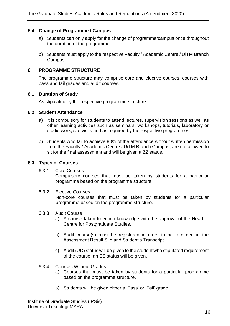## <span id="page-21-0"></span>**5.4 Change of Programme / Campus**

- a) Students can only apply for the change of programme/campus once throughout the duration of the programme.
- b) Students must apply to the respective Faculty / Academic Centre / UiTM Branch Campus.

#### <span id="page-21-1"></span>**6 PROGRAMME STRUCTURE**

The programme structure may comprise core and elective courses, courses with pass and fail grades and audit courses.

#### <span id="page-21-2"></span>**6.1 Duration of Study**

As stipulated by the respective programme structure.

#### <span id="page-21-3"></span>**6.2 Student Attendance**

- a) It is compulsory for students to attend lectures, supervision sessions as well as other learning activities such as seminars, workshops, tutorials, laboratory or studio work, site visits and as required by the respective programmes.
- b) Students who fail to achieve 80% of the attendance without written permission from the Faculty / Academic Centre / UiTM Branch Campus, are not allowed to sit for the final assessment and will be given a ZZ status.

#### <span id="page-21-4"></span>**6.3 Types of Courses**

6.3.1 Core Courses

Compulsory courses that must be taken by students for a particular programme based on the programme structure.

6.3.2 Elective Courses

Non-core courses that must be taken by students for a particular programme based on the programme structure.

#### 6.3.3 Audit Course

- a) A course taken to enrich knowledge with the approval of the Head of Centre for Postgraduate Studies.
- b) Audit course(s) must be registered in order to be recorded in the Assessment Result Slip and Student's Transcript.
- c) Audit (UD) status will be given to the student who stipulated requirement of the course, an ES status will be given.
- 6.3.4 Courses Without Grades
	- a) Courses that must be taken by students for a particular programme based on the programme structure.
	- b) Students will be given either a 'Pass' or 'Fail' grade.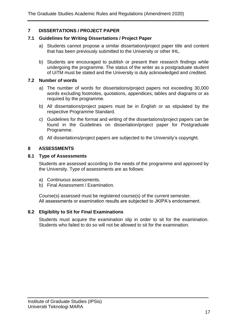## <span id="page-22-0"></span>**7 DISSERTATIONS / PROJECT PAPER**

#### <span id="page-22-1"></span>**7.1 Guidelines for Writing Dissertations / Project Paper**

- a) Students cannot propose a similar dissertation/project paper title and content that has been previously submitted to the University or other IHL.
- b) Students are encouraged to publish or present their research findings while undergoing the programme. The status of the writer as a postgraduate student of UiTM must be stated and the University is duly acknowledged and credited.

#### <span id="page-22-2"></span>**7.2 Number of words**

- a) The number of words for dissertations/project papers not exceeding 30,000 words excluding footnotes, quotations, appendices, tables and diagrams or as required by the programme.
- b) All dissertations/project papers must be in English or as stipulated by the respective Programme Standard.
- c) Guidelines for the format and writing of the dissertations/project papers can be found in the Guidelines on dissertation/project paper for Postgraduate Programme.
- d) All dissertations/project papers are subjected to the University's copyright.

## <span id="page-22-3"></span>**8 ASSESSMENTS**

#### <span id="page-22-4"></span>**8.1 Type of Assessments**

Students are assessed according to the needs of the programme and approved by the University. Type of assessments are as follows:

- a) Continuous assessments.
- b) Final Assessment / Examination.

Course(s) assessed must be registered course(s) of the current semester. All assessments or examination results are subjected to JKIPA's endorsement.

## <span id="page-22-5"></span>**8.2 Eligibility to Sit for Final Examinations**

Students must acquire the examination slip in order to sit for the examination. Students who failed to do so will not be allowed to sit for the examination.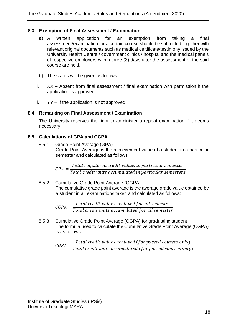## <span id="page-23-0"></span>**8.3 Exemption of Final Assessment / Examination**

- a) A written application for an exemption from taking a final assessment/examination for a certain course should be submitted together with relevant original documents such as medical certificate/testimony issued by the University Health Centre / government clinics / hospital and the medical panels of respective employers within three (3) days after the assessment of the said course are held.
- b) The status will be given as follows:
- i. XX Absent from final assessment / final examination with permission if the application is approved.
- ii. YY If the application is not approved.

## <span id="page-23-1"></span>**8.4 Remarking on Final Assessment / Examination**

The University reserves the right to administer a repeat examination if it deems necessary.

## <span id="page-23-2"></span>**8.5 Calculations of GPA and CGPA**

8.5.1 Grade Point Average (GPA) Grade Point Average is the achievement value of a student in a particular semester and calculated as follows:

 $GPA =$ Total registered credit values in particular semester Total credit units accumulated in particular semesters

8.5.2 Cumulative Grade Point Average (CGPA) The cumulative grade point average is the average grade value obtained by a student in all examinations taken and calculated as follows:

> $CGPA =$ Total credit values achieved for all semester Total credit units accumulated for all semester

8.5.3 Cumulative Grade Point Average (CGPA) for graduating student The formula used to calculate the Cumulative Grade Point Average (CGPA) is as follows:

 $CGPA =$ Total credit values achieved (for passed courses only)  $\,$  $Total\ credit$  units accumulated (for passed courses only)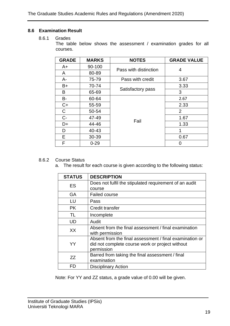## <span id="page-24-0"></span>**8.6 Examination Result**

#### 8.6.1 Grades

The table below shows the assessment / examination grades for all courses.

| <b>GRADE</b> | <b>MARKS</b> | <b>NOTES</b>          | <b>GRADE VALUE</b> |
|--------------|--------------|-----------------------|--------------------|
| A+           | 90-100       | Pass with distinction |                    |
| A            | 80-89        |                       | 4                  |
| $A -$        | 75-79        | Pass with credit      | 3.67               |
| B+           | 70-74        |                       | 3.33               |
| В            | 65-69        | Satisfactory pass     | 3                  |
| B-           | 60-64        |                       | 2.67               |
| $C+$         | 55-59        |                       | 2.33               |
| C            | 50-54        |                       | $\overline{2}$     |
| $C -$        | 47-49        |                       | 1.67               |
| D+           | 44-46        | Fail                  | 1.33               |
| D            | 40-43        |                       |                    |
| Е            | 30-39        |                       | 0.67               |
| F            | $0 - 29$     |                       |                    |

## 8.6.2 Course Status

a. The result for each course is given according to the following status:

| <b>STATUS</b> | <b>DESCRIPTION</b>                                      |
|---------------|---------------------------------------------------------|
| ES            | Does not fulfil the stipulated requirement of an audit  |
|               | course                                                  |
| GA            | <b>Failed course</b>                                    |
| LU            | Pass                                                    |
| <b>PK</b>     | Credit transfer                                         |
| TL            | Incomplete                                              |
| UD            | Audit                                                   |
| XX            | Absent from the final assessment / final examination    |
|               | with permission                                         |
|               | Absent from the final assessment / final examination or |
| YY            | did not complete course work or project without         |
|               | permission                                              |
| ZZ            | Barred from taking the final assessment / final         |
|               | examination                                             |
| FD            | <b>Disciplinary Action</b>                              |

Note: For YY and ZZ status, a grade value of 0.00 will be given.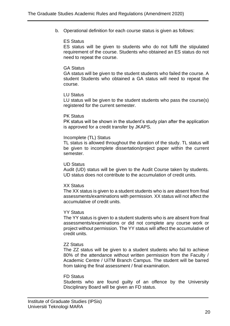b. Operational definition for each course status is given as follows:

#### ES Status

ES status will be given to students who do not fulfil the stipulated requirement of the course. Students who obtained an ES status do not need to repeat the course.

#### GA Status

GA status will be given to the student students who failed the course. A student Students who obtained a GA status will need to repeat the course.

#### LU Status

LU status will be given to the student students who pass the course(s) registered for the current semester.

#### PK Status

PK status will be shown in the student's study plan after the application is approved for a credit transfer by JKAPS.

#### Incomplete (TL) Status

TL status is allowed throughout the duration of the study. TL status will be given to incomplete dissertation/project paper within the current semester.

#### UD Status

Audit (UD) status will be given to the Audit Course taken by students. UD status does not contribute to the accumulation of credit units.

#### XX Status

The XX status is given to a student students who is are absent from final assessments/examinations with permission. XX status will not affect the accumulative of credit units.

#### YY Status

The YY status is given to a student students who is are absent from final assessments/examinations or did not complete any course work or project without permission. The YY status will affect the accumulative of credit units.

#### ZZ Status

The ZZ status will be given to a student students who fail to achieve 80% of the attendance without written permission from the Faculty / Academic Centre / UiTM Branch Campus. The student will be barred from taking the final assessment / final examination.

#### FD Status

Students who are found guilty of an offence by the University Disciplinary Board will be given an FD status.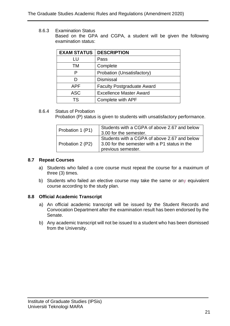8.6.3 Examination Status Based on the GPA and CGPA, a student will be given the following examination status:

| <b>EXAM STATUS</b> | <b>DESCRIPTION</b>                |
|--------------------|-----------------------------------|
| LU                 | Pass                              |
| TM                 | Complete                          |
| P                  | Probation (Unsatisfactory)        |
| נו                 | <b>Dismissal</b>                  |
| APF                | <b>Faculty Postgraduate Award</b> |
| <b>ASC</b>         | <b>Excellence Master Award</b>    |
| TS                 | Complete with APF                 |

#### 8.6.4 Status of Probation

Probation (P) status is given to students with unsatisfactory performance.

| Probation 1 (P1) | Students with a CGPA of above 2.67 and below<br>3.00 for the semester.                                              |
|------------------|---------------------------------------------------------------------------------------------------------------------|
| Probation 2 (P2) | Students with a CGPA of above 2.67 and below<br>3.00 for the semester with a P1 status in the<br>previous semester. |

#### <span id="page-26-0"></span>**8.7 Repeat Courses**

- a) Students who failed a core course must repeat the course for a maximum of three (3) times.
- b) Students who failed an elective course may take the same or any equivalent course according to the study plan.

#### <span id="page-26-1"></span>**8.8 Official Academic Transcript**

- a) An official academic transcript will be issued by the Student Records and Convocation Department after the examination result has been endorsed by the Senate.
- b) Any academic transcript will not be issued to a student who has been dismissed from the University.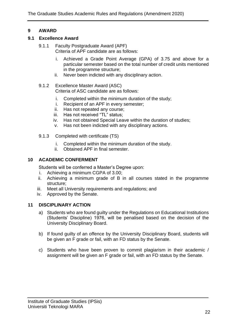## <span id="page-27-0"></span>**9 AWARD**

## <span id="page-27-1"></span>**9.1 Excellence Award**

- 9.1.1 Faculty Postgraduate Award (APF) Criteria of APF candidate are as follows:
	- i. Achieved a Grade Point Average (GPA) of 3.75 and above for a particular semester based on the total number of credit units mentioned in the programme structure;
	- ii. Never been indicted with any disciplinary action.
- 9.1.2 Excellence Master Award (ASC) Criteria of ASC candidate are as follows:
	- i. Completed within the minimum duration of the study;
	- i. Recipient of an APF in every semester;
	- ii. Has not repeated any course;
	- iii. Has not received "TL" status;
	- iv. Has not obtained Special Leave within the duration of studies;
	- v. Has not been indicted with any disciplinary actions.
- 9.1.3 Completed with certificate (TS)
	- i. Completed within the minimum duration of the study.
	- ii. Obtained APF in final semester.

## <span id="page-27-2"></span>**10 ACADEMIC CONFERMENT**

Students will be conferred a Master's Degree upon:

- i. Achieving a minimum CGPA of 3.00;
- ii. Achieving a minimum grade of B in all courses stated in the programme structure;
- iii. Meet all University requirements and regulations; and
- iv. Approved by the Senate.

## <span id="page-27-3"></span>**11 DISCIPLINARY ACTION**

- a) Students who are found guilty under the Regulations on Educational Institutions (Students' Discipline) 1976, will be penalised based on the decision of the University Disciplinary Board.
- b) If found guilty of an offence by the University Disciplinary Board, students will be given an F grade or fail, with an FD status by the Senate.
- c) Students who have been proven to commit plagiarism in their academic / assignment will be given an F grade or fail, with an FD status by the Senate.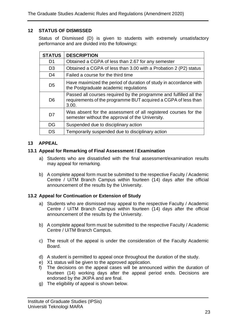## <span id="page-28-0"></span>**12 STATUS OF DISMISSED**

Status of Dismissed (D) is given to students with extremely unsatisfactory performance and are divided into the followings:

| <b>STATUS</b>  | <b>DESCRIPTION</b>                                                                                                                            |  |
|----------------|-----------------------------------------------------------------------------------------------------------------------------------------------|--|
| D1             | Obtained a CGPA of less than 2.67 for any semester                                                                                            |  |
| D <sub>3</sub> | Obtained a CGPA of less than 3.00 with a Probation 2 (P2) status                                                                              |  |
| D <sub>4</sub> | Failed a course for the third time                                                                                                            |  |
| D <sub>5</sub> | Have maximized the period of duration of study in accordance with<br>the Postgraduate academic regulations                                    |  |
| D <sub>6</sub> | Passed all courses required by the programme and fulfilled all the<br>requirements of the programme BUT acquired a CGPA of less than<br>3.00. |  |
| D7             | Was absent for the assessment of all registered courses for the<br>semester without the approval of the University.                           |  |
| DG             | Suspended due to disciplinary action                                                                                                          |  |
| DS             | Temporarily suspended due to disciplinary action                                                                                              |  |

## <span id="page-28-1"></span>**13 APPEAL**

## <span id="page-28-2"></span>**13.1 Appeal for Remarking of Final Assessment / Examination**

- a) Students who are dissatisfied with the final assessment/examination results may appeal for remarking.
- b) A complete appeal form must be submitted to the respective Faculty / Academic Centre / UiTM Branch Campus within fourteen (14) days after the official announcement of the results by the University.

## <span id="page-28-3"></span>**13.2 Appeal for Continuation or Extension of Study**

- a) Students who are dismissed may appeal to the respective Faculty / Academic Centre / UiTM Branch Campus within fourteen (14) days after the official announcement of the results by the University.
- b) A complete appeal form must be submitted to the respective Faculty / Academic Centre / UiTM Branch Campus.
- c) The result of the appeal is under the consideration of the Faculty Academic Board.
- d) A student is permitted to appeal once throughout the duration of the study.
- e) X1 status will be given to the approved application.
- f) The decisions on the appeal cases will be announced within the duration of fourteen (14) working days after the appeal period ends. Decisions are endorsed by the JKIPA and are final.
- g) The eligibility of appeal is shown below.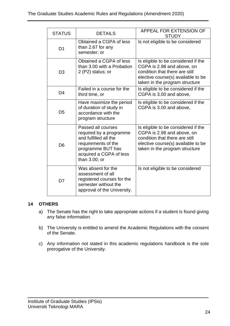| <b>STATUS</b>  | <b>DETAILS</b>                                                                                                                                                 | APPEAL FOR EXTENSION OF<br><b>STUDY</b>                                                                                                                                     |
|----------------|----------------------------------------------------------------------------------------------------------------------------------------------------------------|-----------------------------------------------------------------------------------------------------------------------------------------------------------------------------|
| D <sub>1</sub> | Obtained a CGPA of less<br>than 2.67 for any<br>semester; or                                                                                                   | Is not eligible to be considered                                                                                                                                            |
| D <sub>3</sub> | Obtained a CGPA of less<br>than 3.00 with a Probation<br>2 (P2) status; or                                                                                     | Is eligible to be considered if the<br>CGPA is 2.98 and above, on<br>condition that there are still<br>elective course(s) available to be<br>taken in the program structure |
| D <sub>4</sub> | Failed in a course for the<br>third time, or                                                                                                                   | Is eligible to be considered if the<br>CGPA is 3.00 and above,                                                                                                              |
| D <sub>5</sub> | Have maximize the period<br>of duration of study in<br>accordance with the<br>program structure                                                                | Is eligible to be considered if the<br>CGPA is 3.00 and above,                                                                                                              |
| D <sub>6</sub> | Passed all courses<br>required by a programme<br>and fulfilled all the<br>requirements of the<br>programme BUT has<br>acquired a CGPA of less<br>than 3.00; or | Is eligible to be considered if the<br>CGPA is 2.98 and above, on<br>condition that there are still<br>elective course(s) available to be<br>taken in the program structure |
| D <sub>7</sub> | Was absent for the<br>assessment of all<br>registered courses for the<br>semester without the<br>approval of the University.                                   | Is not eligible to be considered                                                                                                                                            |

## <span id="page-29-0"></span>**14 OTHERS**

- a) The Senate has the right to take appropriate actions if a student is found giving any false information.
- b) The University is entitled to amend the Academic Regulations with the consent of the Senate.
- c) Any information not stated in this academic regulations handbook is the sole prerogative of the University.